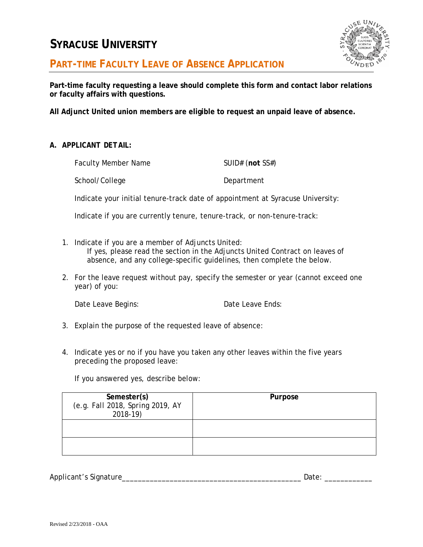## **SYRACUSE UNIVERSITY**



**PART-TIME FACULTY LEAVE OF ABSENCE APPLICATION**

**Part-time faculty requesting a leave should complete this form and contact labor relations or faculty affairs with questions.**

**All Adjunct United union members are eligible to request an unpaid leave of absence.**

*A. APPLICANT DETAIL:*

| Faculty Member Name | SUID# (not $SS#$ ) |
|---------------------|--------------------|
| School/College      | Department         |

Indicate your initial tenure-track date of appointment at Syracuse University:

Indicate if you are currently tenure, tenure-track, or non-tenure-track:

- 1. Indicate if you are a member of Adjuncts United: If yes, please read the section in the Adjuncts United Contract on leaves of absence, and any college-specific guidelines, then complete the below.
- 2. For the leave request without pay, specify the semester or year (cannot exceed one year) of you:

Date Leave Begins: Date Leave Ends:

- 3. Explain the purpose of the requested leave of absence:
- 4. Indicate yes or no if you have you taken any other leaves within the five years preceding the proposed leave:

If you answered yes, describe below:

| Semester(s)                      | Purpose |
|----------------------------------|---------|
| (e.g. Fall 2018, Spring 2019, AY |         |
| $2018 - 19$                      |         |
|                                  |         |
|                                  |         |
|                                  |         |
|                                  |         |
|                                  |         |

Applicant's Signature\_\_\_\_\_\_\_\_\_\_\_\_\_\_\_\_\_\_\_\_\_\_\_\_\_\_\_\_\_\_\_\_\_\_\_\_\_\_\_\_\_\_\_\_\_ Date: \_\_\_\_\_\_\_\_\_\_\_\_